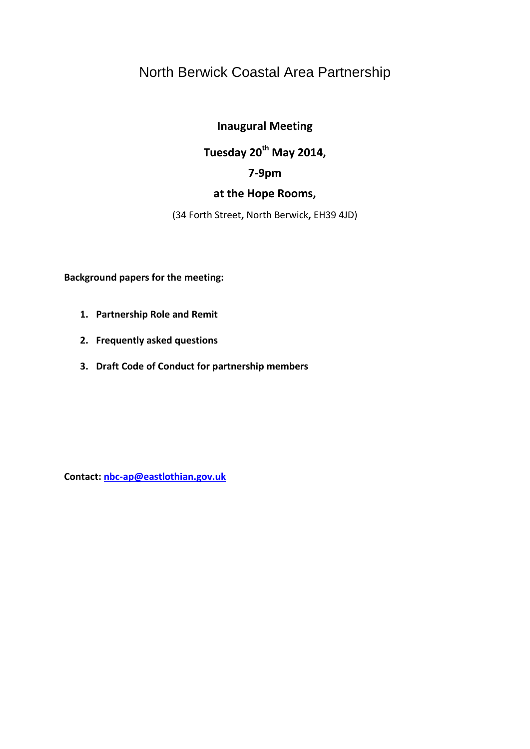# North Berwick Coastal Area Partnership

# **Inaugural Meeting**

# **Tuesday 20th May 2014,**

# **7-9pm**

# **at the Hope Rooms,**

(34 Forth Street**,** North Berwick**,** EH39 4JD)

**Background papers for the meeting:**

- **1. Partnership Role and Remit**
- **2. Frequently asked questions**
- **3. Draft Code of Conduct for partnership members**

**Contact: [nbc-ap@eastlothian.gov.uk](mailto:nbc-ap@eastlothian.gov.uk)**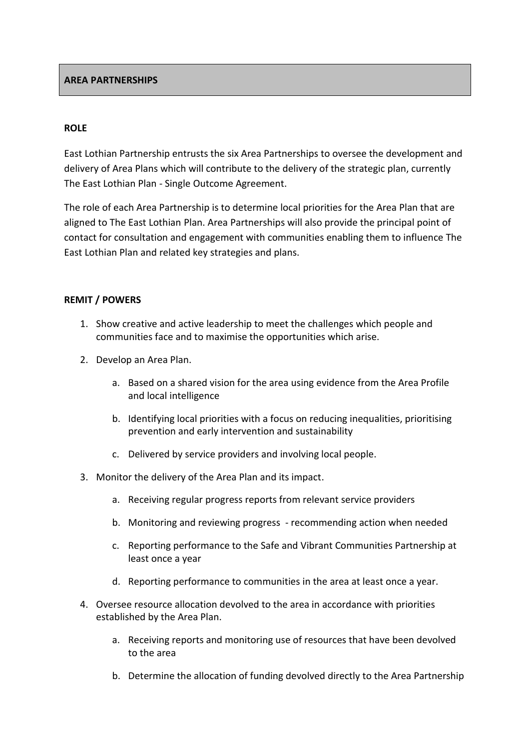#### **ROLE**

East Lothian Partnership entrusts the six Area Partnerships to oversee the development and delivery of Area Plans which will contribute to the delivery of the strategic plan, currently The East Lothian Plan - Single Outcome Agreement.

The role of each Area Partnership is to determine local priorities for the Area Plan that are aligned to The East Lothian Plan. Area Partnerships will also provide the principal point of contact for consultation and engagement with communities enabling them to influence The East Lothian Plan and related key strategies and plans.

#### **REMIT / POWERS**

- 1. Show creative and active leadership to meet the challenges which people and communities face and to maximise the opportunities which arise.
- 2. Develop an Area Plan.
	- a. Based on a shared vision for the area using evidence from the Area Profile and local intelligence
	- b. Identifying local priorities with a focus on reducing inequalities, prioritising prevention and early intervention and sustainability
	- c. Delivered by service providers and involving local people.
- 3. Monitor the delivery of the Area Plan and its impact.
	- a. Receiving regular progress reports from relevant service providers
	- b. Monitoring and reviewing progress recommending action when needed
	- c. Reporting performance to the Safe and Vibrant Communities Partnership at least once a year
	- d. Reporting performance to communities in the area at least once a year.
- 4. Oversee resource allocation devolved to the area in accordance with priorities established by the Area Plan.
	- a. Receiving reports and monitoring use of resources that have been devolved to the area
	- b. Determine the allocation of funding devolved directly to the Area Partnership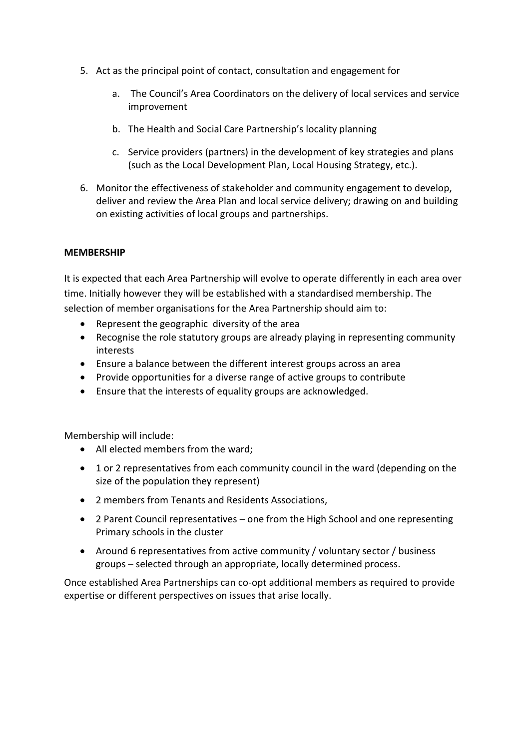- 5. Act as the principal point of contact, consultation and engagement for
	- a. The Council's Area Coordinators on the delivery of local services and service improvement
	- b. The Health and Social Care Partnership's locality planning
	- c. Service providers (partners) in the development of key strategies and plans (such as the Local Development Plan, Local Housing Strategy, etc.).
- 6. Monitor the effectiveness of stakeholder and community engagement to develop, deliver and review the Area Plan and local service delivery; drawing on and building on existing activities of local groups and partnerships.

# **MEMBERSHIP**

It is expected that each Area Partnership will evolve to operate differently in each area over time. Initially however they will be established with a standardised membership. The selection of member organisations for the Area Partnership should aim to:

- Represent the geographic diversity of the area
- Recognise the role statutory groups are already playing in representing community interests
- Ensure a balance between the different interest groups across an area
- Provide opportunities for a diverse range of active groups to contribute
- Ensure that the interests of equality groups are acknowledged.

Membership will include:

- All elected members from the ward;
- 1 or 2 representatives from each community council in the ward (depending on the size of the population they represent)
- 2 members from Tenants and Residents Associations,
- 2 Parent Council representatives one from the High School and one representing Primary schools in the cluster
- Around 6 representatives from active community / voluntary sector / business groups – selected through an appropriate, locally determined process.

Once established Area Partnerships can co-opt additional members as required to provide expertise or different perspectives on issues that arise locally.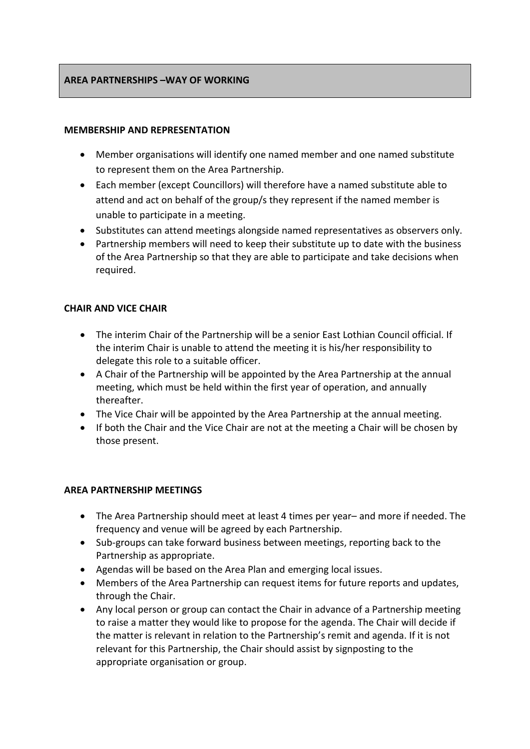# **AREA PARTNERSHIPS –WAY OF WORKING**

#### **MEMBERSHIP AND REPRESENTATION**

- Member organisations will identify one named member and one named substitute to represent them on the Area Partnership.
- Each member (except Councillors) will therefore have a named substitute able to attend and act on behalf of the group/s they represent if the named member is unable to participate in a meeting.
- Substitutes can attend meetings alongside named representatives as observers only.
- Partnership members will need to keep their substitute up to date with the business of the Area Partnership so that they are able to participate and take decisions when required.

# **CHAIR AND VICE CHAIR**

- The interim Chair of the Partnership will be a senior East Lothian Council official. If the interim Chair is unable to attend the meeting it is his/her responsibility to delegate this role to a suitable officer.
- A Chair of the Partnership will be appointed by the Area Partnership at the annual meeting, which must be held within the first year of operation, and annually thereafter.
- The Vice Chair will be appointed by the Area Partnership at the annual meeting.
- If both the Chair and the Vice Chair are not at the meeting a Chair will be chosen by those present.

#### **AREA PARTNERSHIP MEETINGS**

- The Area Partnership should meet at least 4 times per year– and more if needed. The frequency and venue will be agreed by each Partnership.
- Sub-groups can take forward business between meetings, reporting back to the Partnership as appropriate.
- Agendas will be based on the Area Plan and emerging local issues.
- Members of the Area Partnership can request items for future reports and updates, through the Chair.
- Any local person or group can contact the Chair in advance of a Partnership meeting to raise a matter they would like to propose for the agenda. The Chair will decide if the matter is relevant in relation to the Partnership's remit and agenda. If it is not relevant for this Partnership, the Chair should assist by signposting to the appropriate organisation or group.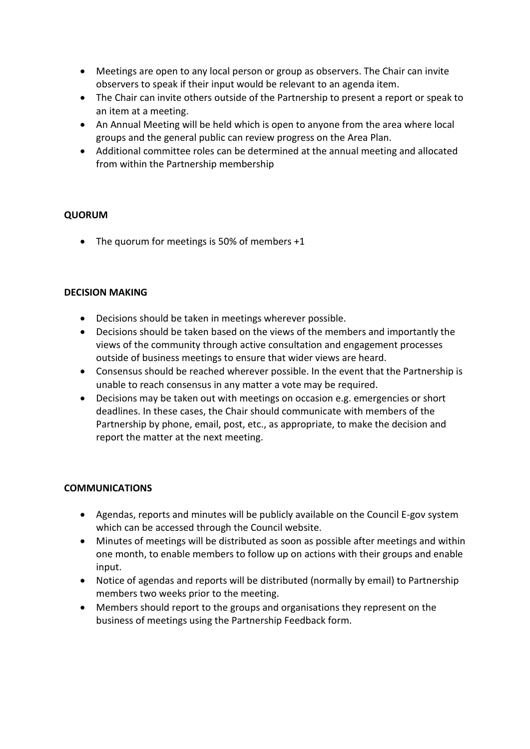- Meetings are open to any local person or group as observers. The Chair can invite observers to speak if their input would be relevant to an agenda item.
- The Chair can invite others outside of the Partnership to present a report or speak to an item at a meeting.
- An Annual Meeting will be held which is open to anyone from the area where local groups and the general public can review progress on the Area Plan.
- Additional committee roles can be determined at the annual meeting and allocated from within the Partnership membership

# **QUORUM**

• The quorum for meetings is 50% of members +1

#### **DECISION MAKING**

- Decisions should be taken in meetings wherever possible.
- Decisions should be taken based on the views of the members and importantly the views of the community through active consultation and engagement processes outside of business meetings to ensure that wider views are heard.
- Consensus should be reached wherever possible. In the event that the Partnership is unable to reach consensus in any matter a vote may be required.
- Decisions may be taken out with meetings on occasion e.g. emergencies or short deadlines. In these cases, the Chair should communicate with members of the Partnership by phone, email, post, etc., as appropriate, to make the decision and report the matter at the next meeting.

# **COMMUNICATIONS**

- Agendas, reports and minutes will be publicly available on the Council E-gov system which can be accessed through the Council website.
- Minutes of meetings will be distributed as soon as possible after meetings and within one month, to enable members to follow up on actions with their groups and enable input.
- Notice of agendas and reports will be distributed (normally by email) to Partnership members two weeks prior to the meeting.
- Members should report to the groups and organisations they represent on the business of meetings using the Partnership Feedback form.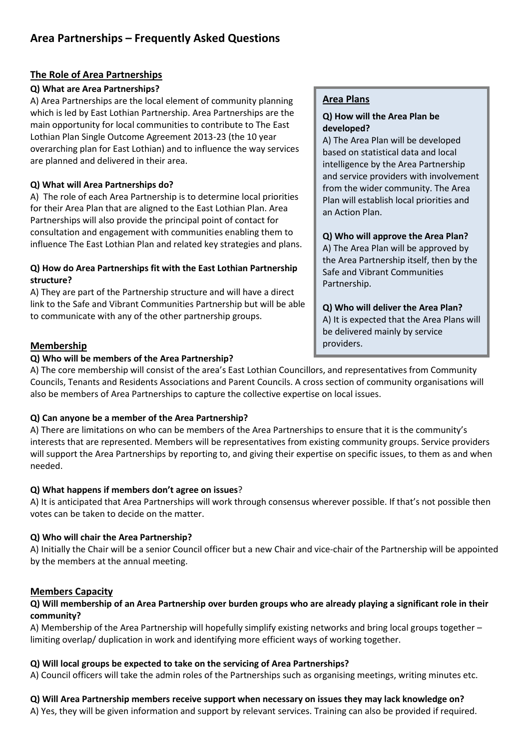# **The Role of Area Partnerships**

# **Q) What are Area Partnerships?**

A) Area Partnerships are the local element of community planning which is led by East Lothian Partnership. Area Partnerships are the main opportunity for local communities to contribute to The East Lothian Plan Single Outcome Agreement 2013-23 (the 10 year overarching plan for East Lothian) and to influence the way services are planned and delivered in their area.

#### **Q) What will Area Partnerships do?**

A) The role of each Area Partnership is to determine local priorities for their Area Plan that are aligned to the East Lothian Plan. Area Partnerships will also provide the principal point of contact for consultation and engagement with communities enabling them to influence The East Lothian Plan and related key strategies and plans.

# **Q) How do Area Partnerships fit with the East Lothian Partnership structure?**

A) They are part of the Partnership structure and will have a direct link to the Safe and Vibrant Communities Partnership but will be able to communicate with any of the other partnership groups.

# **Membership**

#### **Q) Who will be members of the Area Partnership?**

#### **Area Plans**

#### **Q) How will the Area Plan be developed?**

A) The Area Plan will be developed based on statistical data and local intelligence by the Area Partnership and service providers with involvement from the wider community. The Area Plan will establish local priorities and an Action Plan.

#### **Q) Who will approve the Area Plan?**

A) The Area Plan will be approved by the Area Partnership itself, then by the Safe and Vibrant Communities Partnership.

# **Q) Who will deliver the Area Plan?**

A) It is expected that the Area Plans will be delivered mainly by service providers.

A) The core membership will consist of the area's East Lothian Councillors, and representatives from Community Councils, Tenants and Residents Associations and Parent Councils. A cross section of community organisations will also be members of Area Partnerships to capture the collective expertise on local issues.

# **Q) Can anyone be a member of the Area Partnership?**

A) There are limitations on who can be members of the Area Partnerships to ensure that it is the community's interests that are represented. Members will be representatives from existing community groups. Service providers will support the Area Partnerships by reporting to, and giving their expertise on specific issues, to them as and when needed.

# **Q) What happens if members don't agree on issues**?

A) It is anticipated that Area Partnerships will work through consensus wherever possible. If that's not possible then votes can be taken to decide on the matter.

# **Q) Who will chair the Area Partnership?**

A) Initially the Chair will be a senior Council officer but a new Chair and vice-chair of the Partnership will be appointed by the members at the annual meeting.

# **Members Capacity**

#### **Q) Will membership of an Area Partnership over burden groups who are already playing a significant role in their community?**

A) Membership of the Area Partnership will hopefully simplify existing networks and bring local groups together – limiting overlap/ duplication in work and identifying more efficient ways of working together.

# **Q) Will local groups be expected to take on the servicing of Area Partnerships?**

A) Council officers will take the admin roles of the Partnerships such as organising meetings, writing minutes etc.

# **Q) Will Area Partnership members receive support when necessary on issues they may lack knowledge on?**

A) Yes, they will be given information and support by relevant services. Training can also be provided if required.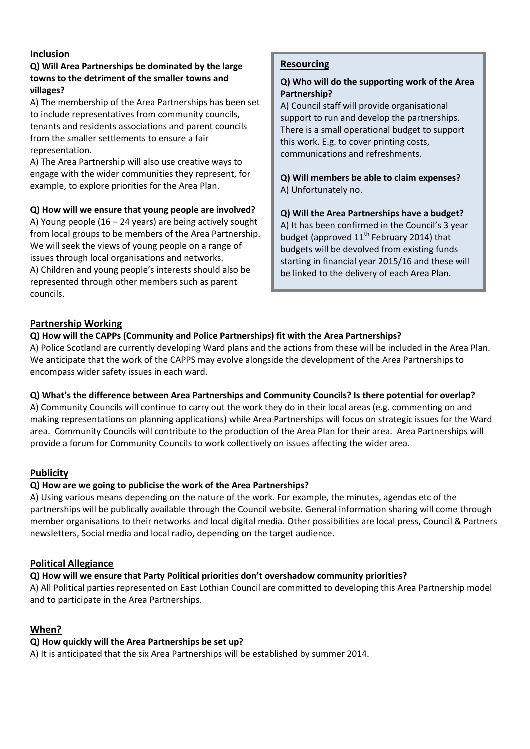# **Inclusion**

# **Q) Will Area Partnerships be dominated by the large towns to the detriment of the smaller towns and villages?**

A) The membership of the Area Partnerships has been set to include representatives from community councils, tenants and residents associations and parent councils from the smaller settlements to ensure a fair representation.

A) The Area Partnership will also use creative ways to engage with the wider communities they represent, for example, to explore priorities for the Area Plan.

# **Q) How will we ensure that young people are involved?**

A) Young people  $(16 - 24$  years) are being actively sought from local groups to be members of the Area Partnership. We will seek the views of young people on a range of issues through local organisations and networks. A) Children and young people's interests should also be represented through other members such as parent councils.

# **Resourcing**

#### **Q) Who will do the supporting work of the Area Partnership?**

A) Council staff will provide organisational support to run and develop the partnerships. There is a small operational budget to support this work. E.g. to cover printing costs, communications and refreshments.

**Q) Will members be able to claim expenses?** A) Unfortunately no.

# **Q) Will the Area Partnerships have a budget?**

A) It has been confirmed in the Council's 3 year budget (approved  $11<sup>th</sup>$  February 2014) that budgets will be devolved from existing funds starting in financial year 2015/16 and these will be linked to the delivery of each Area Plan.

#### **Partnership Working**

#### **Q) How will the CAPPs (Community and Police Partnerships) fit with the Area Partnerships?**

A) Police Scotland are currently developing Ward plans and the actions from these will be included in the Area Plan. We anticipate that the work of the CAPPS may evolve alongside the development of the Area Partnerships to encompass wider safety issues in each ward.

# **Q) What's the difference between Area Partnerships and Community Councils? Is there potential for overlap?**

A) Community Councils will continue to carry out the work they do in their local areas (e.g. commenting on and making representations on planning applications) while Area Partnerships will focus on strategic issues for the Ward area. Community Councils will contribute to the production of the Area Plan for their area. Area Partnerships will provide a forum for Community Councils to work collectively on issues affecting the wider area.

# **Publicity**

#### **Q) How are we going to publicise the work of the Area Partnerships?**

A) Using various means depending on the nature of the work. For example, the minutes, agendas etc of the partnerships will be publically available through the Council website. General information sharing will come through member organisations to their networks and local digital media. Other possibilities are local press, Council & Partners newsletters, Social media and local radio, depending on the target audience.

#### **Political Allegiance**

# **Q) How will we ensure that Party Political priorities don't overshadow community priorities?**

A) All Political parties represented on East Lothian Council are committed to developing this Area Partnership model and to participate in the Area Partnerships.

# **When?**

# **Q) How quickly will the Area Partnerships be set up?**

A) It is anticipated that the six Area Partnerships will be established by summer 2014.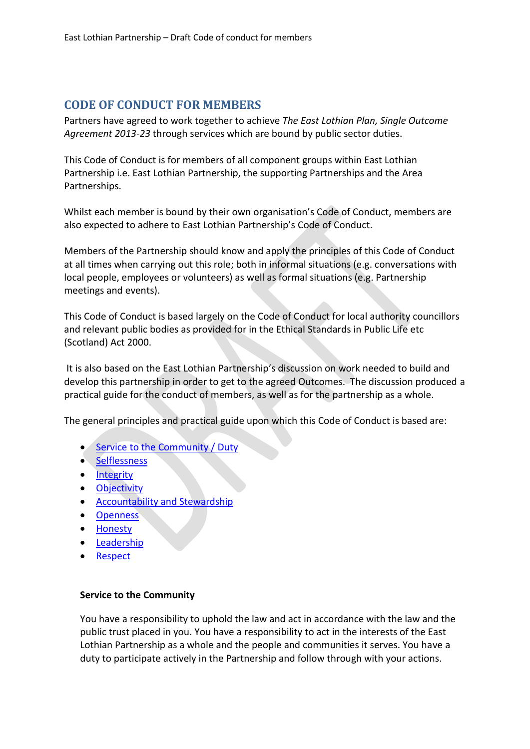# **CODE OF CONDUCT FOR MEMBERS**

Partners have agreed to work together to achieve *The East Lothian Plan, Single Outcome Agreement 2013-23* through services which are bound by public sector duties.

This Code of Conduct is for members of all component groups within East Lothian Partnership i.e. East Lothian Partnership, the supporting Partnerships and the Area Partnerships.

Whilst each member is bound by their own organisation's Code of Conduct, members are also expected to adhere to East Lothian Partnership's Code of Conduct.

Members of the Partnership should know and apply the principles of this Code of Conduct at all times when carrying out this role; both in informal situations (e.g. conversations with local people, employees or volunteers) as well as formal situations (e.g. Partnership meetings and events).

This Code of Conduct is based largely on the Code of Conduct for local authority councillors and relevant public bodies as provided for in the Ethical Standards in Public Life etc (Scotland) Act 2000.

It is also based on the East Lothian Partnership's discussion on work needed to build and develop this partnership in order to get to the agreed Outcomes. The discussion produced a practical guide for the conduct of members, as well as for the partnership as a whole.

The general principles and practical guide upon which this Code of Conduct is based are:

- [Service to the Community / Duty](#page-7-0)
- [Selflessness](#page-7-1)
- [Integrity](#page-8-0)
- **•** [Objectivity](#page-8-1)
- [Accountability and Stewardship](#page-8-2)
- **•** [Openness](#page-8-3)
- [Honesty](#page-8-4)
- **•** [Leadership](#page-8-5)
- [Respect](#page-8-6)

#### <span id="page-7-0"></span>**Service to the Community**

<span id="page-7-1"></span>You have a responsibility to uphold the law and act in accordance with the law and the public trust placed in you. You have a responsibility to act in the interests of the East Lothian Partnership as a whole and the people and communities it serves. You have a duty to participate actively in the Partnership and follow through with your actions.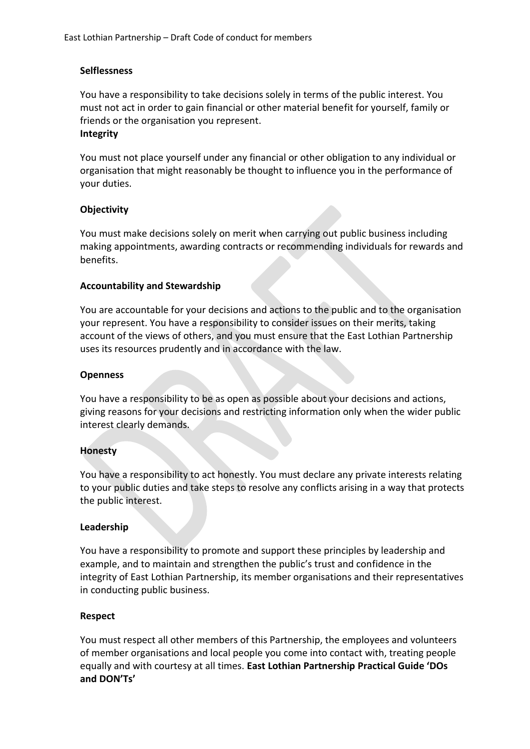# **Selflessness**

You have a responsibility to take decisions solely in terms of the public interest. You must not act in order to gain financial or other material benefit for yourself, family or friends or the organisation you represent.

#### <span id="page-8-0"></span>**Integrity**

You must not place yourself under any financial or other obligation to any individual or organisation that might reasonably be thought to influence you in the performance of your duties.

#### <span id="page-8-1"></span>**Objectivity**

You must make decisions solely on merit when carrying out public business including making appointments, awarding contracts or recommending individuals for rewards and benefits.

#### <span id="page-8-2"></span>**Accountability and Stewardship**

You are accountable for your decisions and actions to the public and to the organisation your represent. You have a responsibility to consider issues on their merits, taking account of the views of others, and you must ensure that the East Lothian Partnership uses its resources prudently and in accordance with the law.

#### <span id="page-8-3"></span>**Openness**

You have a responsibility to be as open as possible about your decisions and actions, giving reasons for your decisions and restricting information only when the wider public interest clearly demands.

#### <span id="page-8-4"></span>**Honesty**

You have a responsibility to act honestly. You must declare any private interests relating to your public duties and take steps to resolve any conflicts arising in a way that protects the public interest.

#### <span id="page-8-5"></span>**Leadership**

You have a responsibility to promote and support these principles by leadership and example, and to maintain and strengthen the public's trust and confidence in the integrity of East Lothian Partnership, its member organisations and their representatives in conducting public business.

#### <span id="page-8-6"></span>**Respect**

You must respect all other members of this Partnership, the employees and volunteers of member organisations and local people you come into contact with, treating people equally and with courtesy at all times. **East Lothian Partnership Practical Guide 'DOs and DON'Ts'**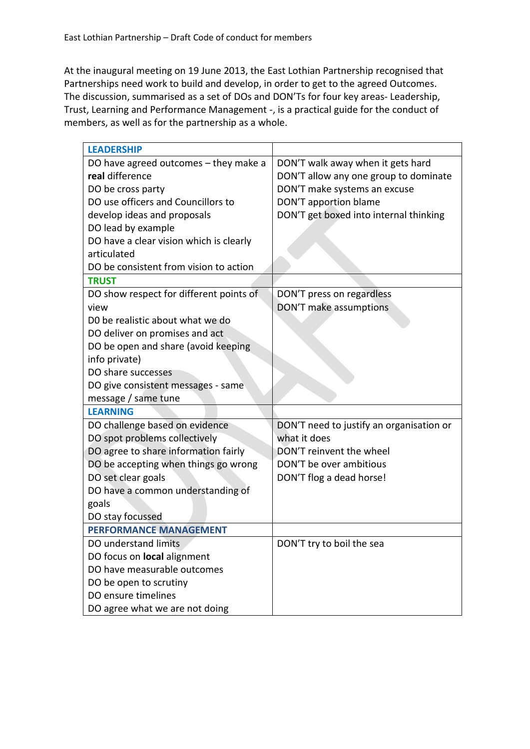At the inaugural meeting on 19 June 2013, the East Lothian Partnership recognised that Partnerships need work to build and develop, in order to get to the agreed Outcomes. The discussion, summarised as a set of DOs and DON'Ts for four key areas- Leadership, Trust, Learning and Performance Management -, is a practical guide for the conduct of members, as well as for the partnership as a whole.

| <b>LEADERSHIP</b>                       |                                          |
|-----------------------------------------|------------------------------------------|
| DO have agreed outcomes $-$ they make a | DON'T walk away when it gets hard        |
| real difference                         | DON'T allow any one group to dominate    |
| DO be cross party                       | DON'T make systems an excuse             |
| DO use officers and Councillors to      | DON'T apportion blame                    |
| develop ideas and proposals             | DON'T get boxed into internal thinking   |
| DO lead by example                      |                                          |
| DO have a clear vision which is clearly |                                          |
| articulated                             |                                          |
| DO be consistent from vision to action  |                                          |
| <b>TRUST</b>                            |                                          |
| DO show respect for different points of | DON'T press on regardless                |
| view                                    | DON'T make assumptions                   |
| D0 be realistic about what we do        |                                          |
| DO deliver on promises and act          |                                          |
| DO be open and share (avoid keeping     |                                          |
| info private)                           |                                          |
| DO share successes                      |                                          |
| DO give consistent messages - same      |                                          |
| message / same tune                     |                                          |
| <b>LEARNING</b>                         |                                          |
| DO challenge based on evidence          | DON'T need to justify an organisation or |
| DO spot problems collectively           | what it does                             |
| DO agree to share information fairly    | DON'T reinvent the wheel                 |
| DO be accepting when things go wrong    | DON'T be over ambitious                  |
| DO set clear goals                      | DON'T flog a dead horse!                 |
| DO have a common understanding of       |                                          |
| goals                                   |                                          |
| DO stay focussed                        |                                          |
| <b>PERFORMANCE MANAGEMENT</b>           |                                          |
| DO understand limits                    | DON'T try to boil the sea                |
| DO focus on <b>local</b> alignment      |                                          |
| DO have measurable outcomes             |                                          |
| DO be open to scrutiny                  |                                          |
| DO ensure timelines                     |                                          |
| DO agree what we are not doing          |                                          |